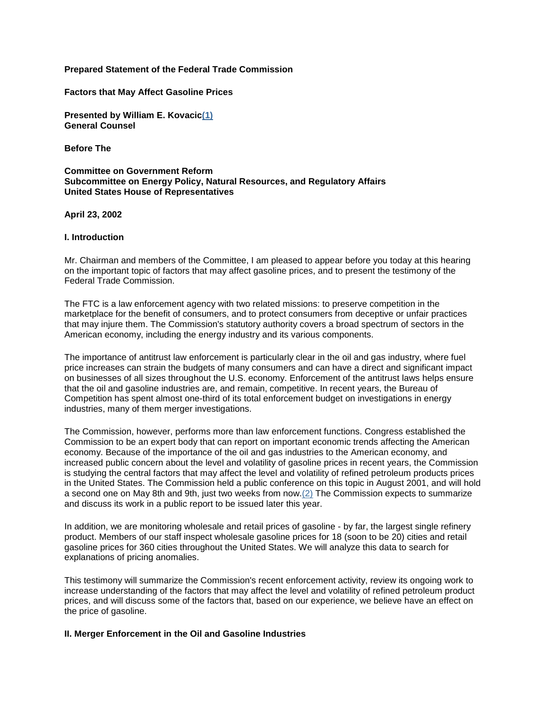# **Prepared Statement of the Federal Trade Commission**

**Factors that May Affect Gasoline Prices**

**Presented by William E. Kovacic(1) General Counsel**

**Before The**

### **Committee on Government Reform Subcommittee on Energy Policy, Natural Resources, and Regulatory Affairs United States House of Representatives**

**April 23, 2002**

### **I. Introduction**

Mr. Chairman and members of the Committee, I am pleased to appear before you today at this hearing on the important topic of factors that may affect gasoline prices, and to present the testimony of the Federal Trade Commission.

The FTC is a law enforcement agency with two related missions: to preserve competition in the marketplace for the benefit of consumers, and to protect consumers from deceptive or unfair practices that may injure them. The Commission's statutory authority covers a broad spectrum of sectors in the American economy, including the energy industry and its various components.

The importance of antitrust law enforcement is particularly clear in the oil and gas industry, where fuel price increases can strain the budgets of many consumers and can have a direct and significant impact on businesses of all sizes throughout the U.S. economy. Enforcement of the antitrust laws helps ensure that the oil and gasoline industries are, and remain, competitive. In recent years, the Bureau of Competition has spent almost one-third of its total enforcement budget on investigations in energy industries, many of them merger investigations.

The Commission, however, performs more than law enforcement functions. Congress established the Commission to be an expert body that can report on important economic trends affecting the American economy. Because of the importance of the oil and gas industries to the American economy, and increased public concern about the level and volatility of gasoline prices in recent years, the Commission is studying the central factors that may affect the level and volatility of refined petroleum products prices in the United States. The Commission held a public conference on this topic in August 2001, and will hold a second one on May 8th and 9th, just two weeks from now.(2) The Commission expects to summarize and discuss its work in a public report to be issued later this year.

In addition, we are monitoring wholesale and retail prices of gasoline - by far, the largest single refinery product. Members of our staff inspect wholesale gasoline prices for 18 (soon to be 20) cities and retail gasoline prices for 360 cities throughout the United States. We will analyze this data to search for explanations of pricing anomalies.

This testimony will summarize the Commission's recent enforcement activity, review its ongoing work to increase understanding of the factors that may affect the level and volatility of refined petroleum product prices, and will discuss some of the factors that, based on our experience, we believe have an effect on the price of gasoline.

## **II. Merger Enforcement in the Oil and Gasoline Industries**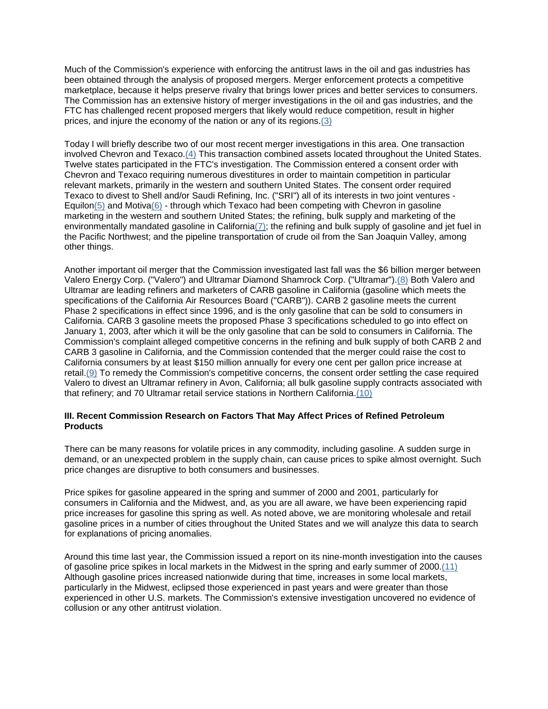Much of the Commission's experience with enforcing the antitrust laws in the oil and gas industries has been obtained through the analysis of proposed mergers. Merger enforcement protects a competitive marketplace, because it helps preserve rivalry that brings lower prices and better services to consumers. The Commission has an extensive history of merger investigations in the oil and gas industries, and the FTC has challenged recent proposed mergers that likely would reduce competition, result in higher prices, and injure the economy of the nation or any of its regions.(3)

Today I will briefly describe two of our most recent merger investigations in this area. One transaction involved Chevron and Texaco.(4) This transaction combined assets located throughout the United States. Twelve states participated in the FTC's investigation. The Commission entered a consent order with Chevron and Texaco requiring numerous divestitures in order to maintain competition in particular relevant markets, primarily in the western and southern United States. The consent order required Texaco to divest to Shell and/or Saudi Refining, Inc. ("SRI") all of its interests in two joint ventures -  $Equilon(5)$  and Motiva(6) - through which Texaco had been competing with Chevron in gasoline marketing in the western and southern United States; the refining, bulk supply and marketing of the environmentally mandated gasoline in California(7); the refining and bulk supply of gasoline and jet fuel in the Pacific Northwest; and the pipeline transportation of crude oil from the San Joaquin Valley, among other things.

Another important oil merger that the Commission investigated last fall was the \$6 billion merger between Valero Energy Corp. ("Valero") and Ultramar Diamond Shamrock Corp. ("Ultramar").(8) Both Valero and Ultramar are leading refiners and marketers of CARB gasoline in California (gasoline which meets the specifications of the California Air Resources Board ("CARB")). CARB 2 gasoline meets the current Phase 2 specifications in effect since 1996, and is the only gasoline that can be sold to consumers in California. CARB 3 gasoline meets the proposed Phase 3 specifications scheduled to go into effect on January 1, 2003, after which it will be the only gasoline that can be sold to consumers in California. The Commission's complaint alleged competitive concerns in the refining and bulk supply of both CARB 2 and CARB 3 gasoline in California, and the Commission contended that the merger could raise the cost to California consumers by at least \$150 million annually for every one cent per gallon price increase at retail.(9) To remedy the Commission's competitive concerns, the consent order settling the case required Valero to divest an Ultramar refinery in Avon, California; all bulk gasoline supply contracts associated with that refinery; and 70 Ultramar retail service stations in Northern California.(10)

# **III. Recent Commission Research on Factors That May Affect Prices of Refined Petroleum Products**

There can be many reasons for volatile prices in any commodity, including gasoline. A sudden surge in demand, or an unexpected problem in the supply chain, can cause prices to spike almost overnight. Such price changes are disruptive to both consumers and businesses.

Price spikes for gasoline appeared in the spring and summer of 2000 and 2001, particularly for consumers in California and the Midwest, and, as you are all aware, we have been experiencing rapid price increases for gasoline this spring as well. As noted above, we are monitoring wholesale and retail gasoline prices in a number of cities throughout the United States and we will analyze this data to search for explanations of pricing anomalies.

Around this time last year, the Commission issued a report on its nine-month investigation into the causes of gasoline price spikes in local markets in the Midwest in the spring and early summer of 2000.(11) Although gasoline prices increased nationwide during that time, increases in some local markets, particularly in the Midwest, eclipsed those experienced in past years and were greater than those experienced in other U.S. markets. The Commission's extensive investigation uncovered no evidence of collusion or any other antitrust violation.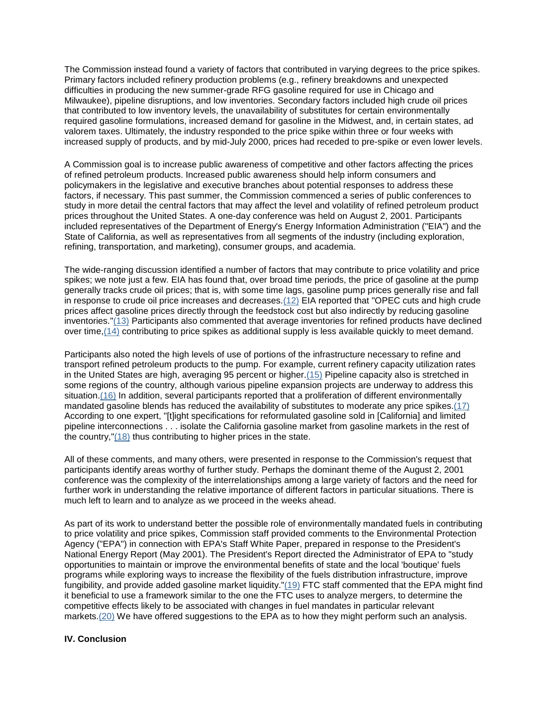The Commission instead found a variety of factors that contributed in varying degrees to the price spikes. Primary factors included refinery production problems (e.g., refinery breakdowns and unexpected difficulties in producing the new summer-grade RFG gasoline required for use in Chicago and Milwaukee), pipeline disruptions, and low inventories. Secondary factors included high crude oil prices that contributed to low inventory levels, the unavailability of substitutes for certain environmentally required gasoline formulations, increased demand for gasoline in the Midwest, and, in certain states, ad valorem taxes. Ultimately, the industry responded to the price spike within three or four weeks with increased supply of products, and by mid-July 2000, prices had receded to pre-spike or even lower levels.

A Commission goal is to increase public awareness of competitive and other factors affecting the prices of refined petroleum products. Increased public awareness should help inform consumers and policymakers in the legislative and executive branches about potential responses to address these factors, if necessary. This past summer, the Commission commenced a series of public conferences to study in more detail the central factors that may affect the level and volatility of refined petroleum product prices throughout the United States. A one-day conference was held on August 2, 2001. Participants included representatives of the Department of Energy's Energy Information Administration ("EIA") and the State of California, as well as representatives from all segments of the industry (including exploration, refining, transportation, and marketing), consumer groups, and academia.

The wide-ranging discussion identified a number of factors that may contribute to price volatility and price spikes; we note just a few. EIA has found that, over broad time periods, the price of gasoline at the pump generally tracks crude oil prices; that is, with some time lags, gasoline pump prices generally rise and fall in response to crude oil price increases and decreases.(12) EIA reported that "OPEC cuts and high crude prices affect gasoline prices directly through the feedstock cost but also indirectly by reducing gasoline inventories."(13) Participants also commented that average inventories for refined products have declined over time,(14) contributing to price spikes as additional supply is less available quickly to meet demand.

Participants also noted the high levels of use of portions of the infrastructure necessary to refine and transport refined petroleum products to the pump. For example, current refinery capacity utilization rates in the United States are high, averaging 95 percent or higher.(15) Pipeline capacity also is stretched in some regions of the country, although various pipeline expansion projects are underway to address this situation.(16) In addition, several participants reported that a proliferation of different environmentally mandated gasoline blends has reduced the availability of substitutes to moderate any price spikes.(17) According to one expert, "[t]ight specifications for reformulated gasoline sold in [California] and limited pipeline interconnections . . . isolate the California gasoline market from gasoline markets in the rest of the country,"(18) thus contributing to higher prices in the state.

All of these comments, and many others, were presented in response to the Commission's request that participants identify areas worthy of further study. Perhaps the dominant theme of the August 2, 2001 conference was the complexity of the interrelationships among a large variety of factors and the need for further work in understanding the relative importance of different factors in particular situations. There is much left to learn and to analyze as we proceed in the weeks ahead.

As part of its work to understand better the possible role of environmentally mandated fuels in contributing to price volatility and price spikes, Commission staff provided comments to the Environmental Protection Agency ("EPA") in connection with EPA's Staff White Paper, prepared in response to the President's National Energy Report (May 2001). The President's Report directed the Administrator of EPA to "study opportunities to maintain or improve the environmental benefits of state and the local 'boutique' fuels programs while exploring ways to increase the flexibility of the fuels distribution infrastructure, improve fungibility, and provide added gasoline market liquidity."(19) FTC staff commented that the EPA might find it beneficial to use a framework similar to the one the FTC uses to analyze mergers, to determine the competitive effects likely to be associated with changes in fuel mandates in particular relevant markets.(20) We have offered suggestions to the EPA as to how they might perform such an analysis.

## **IV. Conclusion**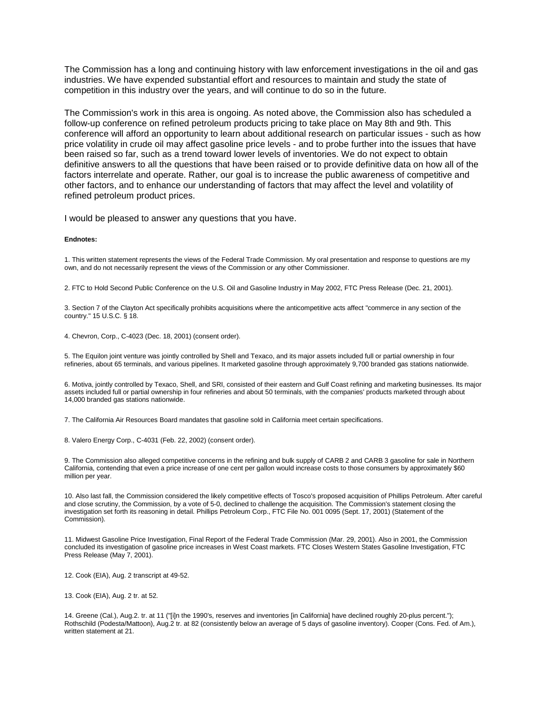The Commission has a long and continuing history with law enforcement investigations in the oil and gas industries. We have expended substantial effort and resources to maintain and study the state of competition in this industry over the years, and will continue to do so in the future.

The Commission's work in this area is ongoing. As noted above, the Commission also has scheduled a follow-up conference on refined petroleum products pricing to take place on May 8th and 9th. This conference will afford an opportunity to learn about additional research on particular issues - such as how price volatility in crude oil may affect gasoline price levels - and to probe further into the issues that have been raised so far, such as a trend toward lower levels of inventories. We do not expect to obtain definitive answers to all the questions that have been raised or to provide definitive data on how all of the factors interrelate and operate. Rather, our goal is to increase the public awareness of competitive and other factors, and to enhance our understanding of factors that may affect the level and volatility of refined petroleum product prices.

I would be pleased to answer any questions that you have.

#### **Endnotes:**

1. This written statement represents the views of the Federal Trade Commission. My oral presentation and response to questions are my own, and do not necessarily represent the views of the Commission or any other Commissioner.

2. FTC to Hold Second Public Conference on the U.S. Oil and Gasoline Industry in May 2002, FTC Press Release (Dec. 21, 2001).

3. Section 7 of the Clayton Act specifically prohibits acquisitions where the anticompetitive acts affect "commerce in any section of the country." 15 U.S.C. § 18.

4. Chevron, Corp., C-4023 (Dec. 18, 2001) (consent order).

5. The Equilon joint venture was jointly controlled by Shell and Texaco, and its major assets included full or partial ownership in four refineries, about 65 terminals, and various pipelines. It marketed gasoline through approximately 9,700 branded gas stations nationwide.

6. Motiva, jointly controlled by Texaco, Shell, and SRI, consisted of their eastern and Gulf Coast refining and marketing businesses. Its major assets included full or partial ownership in four refineries and about 50 terminals, with the companies' products marketed through about 14,000 branded gas stations nationwide.

7. The California Air Resources Board mandates that gasoline sold in California meet certain specifications.

8. Valero Energy Corp., C-4031 (Feb. 22, 2002) (consent order).

9. The Commission also alleged competitive concerns in the refining and bulk supply of CARB 2 and CARB 3 gasoline for sale in Northern California, contending that even a price increase of one cent per gallon would increase costs to those consumers by approximately \$60 million per year.

10. Also last fall, the Commission considered the likely competitive effects of Tosco's proposed acquisition of Phillips Petroleum. After careful and close scrutiny, the Commission, by a vote of 5-0, declined to challenge the acquisition. The Commission's statement closing the investigation set forth its reasoning in detail. Phillips Petroleum Corp., FTC File No. 001 0095 (Sept. 17, 2001) (Statement of the Commission).

11. Midwest Gasoline Price Investigation, Final Report of the Federal Trade Commission (Mar. 29, 2001). Also in 2001, the Commission concluded its investigation of gasoline price increases in West Coast markets. FTC Closes Western States Gasoline Investigation, FTC Press Release (May 7, 2001).

12. Cook (EIA), Aug. 2 transcript at 49-52.

13. Cook (EIA), Aug. 2 tr. at 52.

14. Greene (Cal.), Aug.2. tr. at 11 ("[i]n the 1990's, reserves and inventories [in California] have declined roughly 20-plus percent."); Rothschild (Podesta/Mattoon), Aug.2 tr. at 82 (consistently below an average of 5 days of gasoline inventory). Cooper (Cons. Fed. of Am.), written statement at 21.